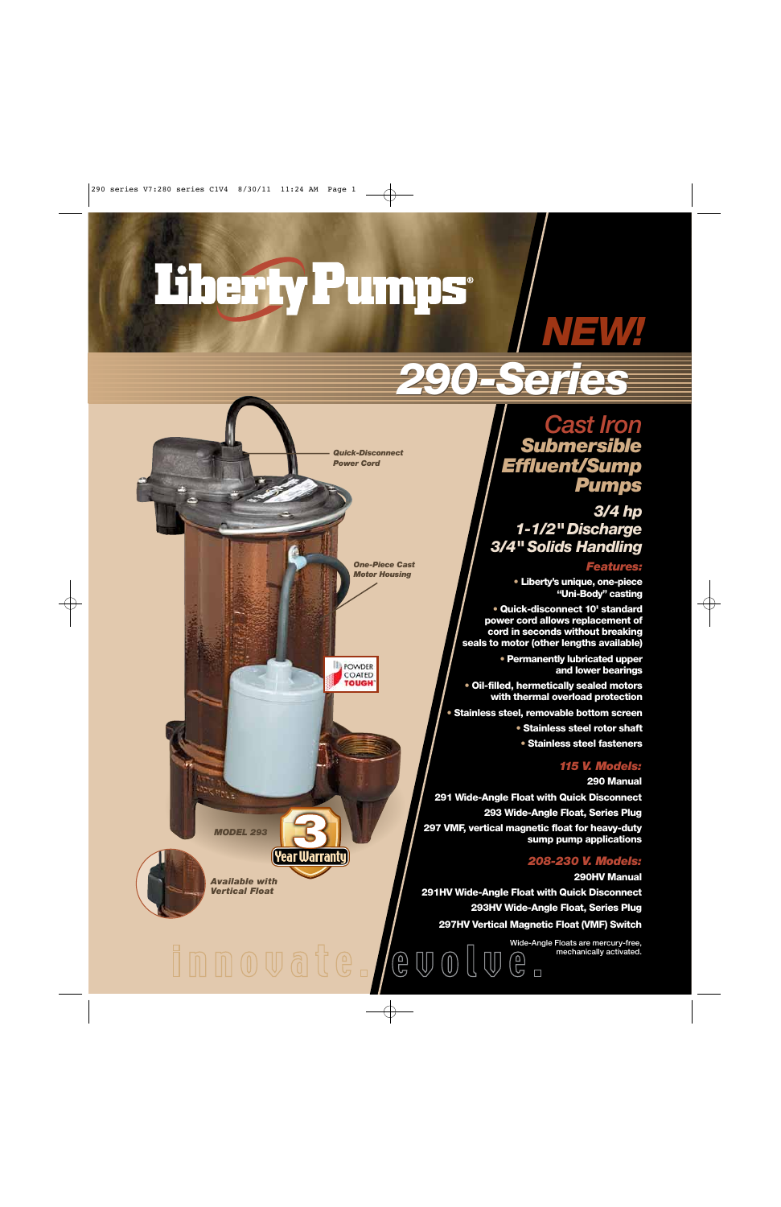# Therfy Pumps

*One-Piece Cast Motor Housing*

 $\bigoplus$ 

 $\mathbb{U} \mathbb{O} \mathbb{U}$ 

**POWDER** COATED **TOUGH** 

*Quick-Disconnect Power Cord*

## *NEW!*

### *290-Series 290-Series*

*Cast Iron Submersible Effluent/Sump Pumps*

*3/4 hp 1-1/2" Discharge 3/4" Solids Handling*

#### *Features:*

**• Liberty's unique, one-piece "Uni-Body" casting**

**• Quick-disconnect 10' standard power cord allows replacement of cord in seconds without breaking seals to motor (other lengths available)**

> **• Permanently lubricated upper and lower bearings**

**• Oil-filled, hermetically sealed motors with thermal overload protection**

**• Stainless steel, removable bottom screen**

**• Stainless steel rotor shaft**

**• Stainless steel fasteners**

#### *115 V. Models:*

**290 Manual**

**291 Wide-Angle Float with Quick Disconnect 293 Wide-Angle Float, Series Plug 297 VMF, vertical magnetic float for heavy-duty sump pump applications**

#### *208-230 V. Models:*

**290HV Manual**

**291HV Wide-Angle Float with Quick Disconnect 293HV Wide-Angle Float, Series Plug 297HV Vertical Magnetic Float (VMF) Switch**

> **Wide-Angle Floats are mercury-free, mechanically activated.**  $\bigoplus_{\square}$

*MODEL 293*

(Year Warranty)

Matia

*Available with Vertical Float*

innovate.